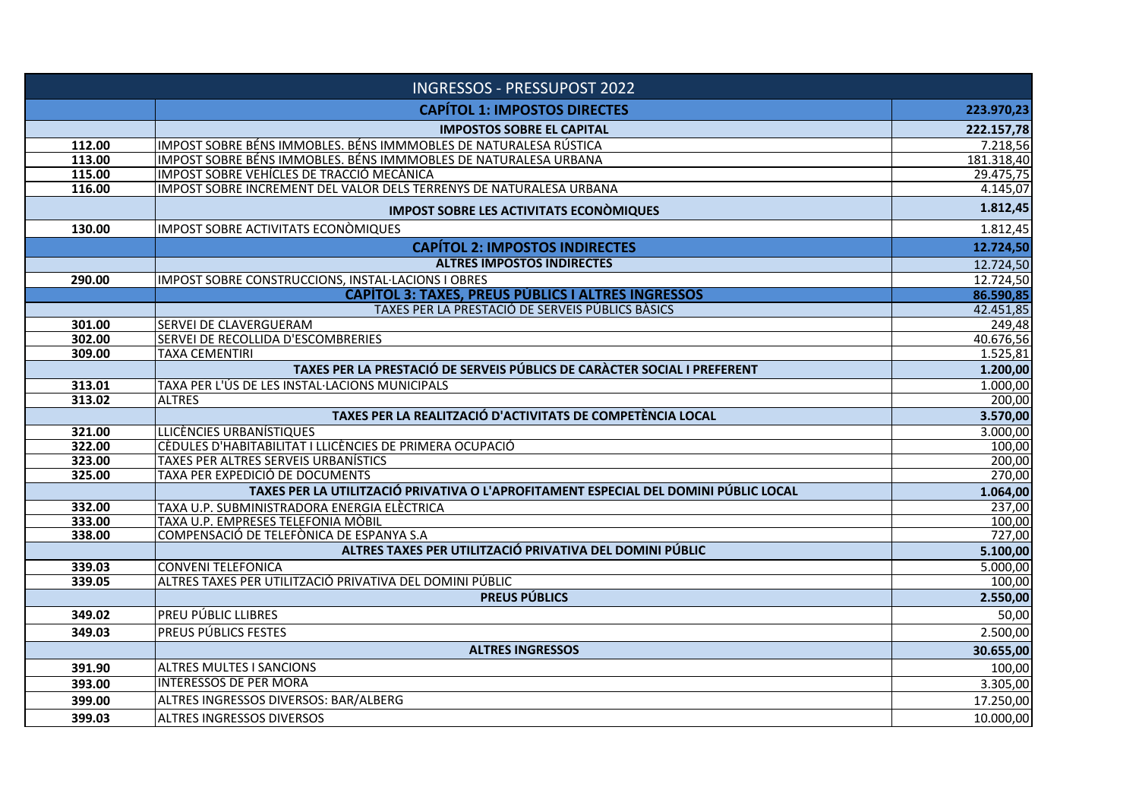| <b>INGRESSOS - PRESSUPOST 2022</b> |                                                                                      |                  |
|------------------------------------|--------------------------------------------------------------------------------------|------------------|
|                                    | <b>CAPÍTOL 1: IMPOSTOS DIRECTES</b>                                                  | 223.970,23       |
|                                    | <b>IMPOSTOS SOBRE EL CAPITAL</b>                                                     | 222.157,78       |
| 112.00                             | IMPOST SOBRE BÉNS IMMOBLES. BÉNS IMMMOBLES DE NATURALESA RÚSTICA                     | 7.218,56         |
| 113.00                             | IMPOST SOBRE BÉNS IMMOBLES. BÉNS IMMMOBLES DE NATURALESA URBANA                      | 181.318,40       |
| 115.00                             | IMPOST SOBRE VEHÍCLES DE TRACCIÓ MECÀNICA                                            | 29.475,75        |
| 116.00                             | IMPOST SOBRE INCREMENT DEL VALOR DELS TERRENYS DE NATURALESA URBANA                  | 4.145,07         |
|                                    | <b>IMPOST SOBRE LES ACTIVITATS ECONÒMIQUES</b>                                       | 1.812,45         |
| 130.00                             | <b>IMPOST SOBRE ACTIVITATS ECONÒMIQUES</b>                                           | 1.812,45         |
|                                    | <b>CAPÍTOL 2: IMPOSTOS INDIRECTES</b>                                                | 12.724,50        |
|                                    | <b>ALTRES IMPOSTOS INDIRECTES</b>                                                    | 12.724,50        |
| 290.00                             | IMPOST SOBRE CONSTRUCCIONS, INSTAL·LACIONS I OBRES                                   | 12.724,50        |
|                                    | <b>CAPÍTOL 3: TAXES, PREUS PÚBLICS I ALTRES INGRESSOS</b>                            | 86.590,85        |
|                                    | TAXES PER LA PRESTACIÓ DE SERVEIS PÚBLICS BÀSICS                                     | 42.451,85        |
| 301.00                             | SERVEI DE CLAVERGUERAM                                                               | 249,48           |
| 302.00                             | SERVEI DE RECOLLIDA D'ESCOMBRERIES                                                   | 40.676,56        |
| 309.00                             | <b>TAXA CEMENTIRI</b>                                                                | 1.525,81         |
|                                    | TAXES PER LA PRESTACIÓ DE SERVEIS PÚBLICS DE CARÀCTER SOCIAL I PREFERENT             | 1.200,00         |
| 313.01                             | TAXA PER L'ÚS DE LES INSTAL·LACIONS MUNICIPALS                                       | 1.000,00         |
| 313.02                             | <b>ALTRES</b>                                                                        | 200,00           |
|                                    | TAXES PER LA REALITZACIÓ D'ACTIVITATS DE COMPETÈNCIA LOCAL                           | 3.570,00         |
| 321.00                             | LLICÈNCIES URBANÍSTIQUES                                                             | 3.000,00         |
| 322.00                             | CÈDULES D'HABITABILITAT I LLICÈNCIES DE PRIMERA OCUPACIÓ                             | 100,00           |
| 323.00                             | TAXES PER ALTRES SERVEIS URBANÍSTICS                                                 | 200,00           |
| 325.00                             | TAXA PER EXPEDICIÓ DE DOCUMENTS                                                      | 270,00           |
|                                    | TAXES PER LA UTILITZACIÓ PRIVATIVA O L'APROFITAMENT ESPECIAL DEL DOMINI PÚBLIC LOCAL | 1.064,00         |
| 332.00<br>333.00                   | TAXA U.P. SUBMINISTRADORA ENERGIA ELÈCTRICA                                          | 237,00           |
| 338.00                             | TAXA U.P. EMPRESES TELEFONIA MÒBIL<br>COMPENSACIÓ DE TELEFÒNICA DE ESPANYA S.A       | 100,00<br>727,00 |
|                                    | ALTRES TAXES PER UTILITZACIÓ PRIVATIVA DEL DOMINI PÚBLIC                             | 5.100,00         |
| 339.03                             | <b>CONVENI TELEFONICA</b>                                                            | 5.000,00         |
| 339.05                             | ALTRES TAXES PER UTILITZACIÓ PRIVATIVA DEL DOMINI PÚBLIC                             | 100,00           |
|                                    | <b>PREUS PÚBLICS</b>                                                                 | 2.550,00         |
| 349.02                             | PREU PÚBLIC LLIBRES                                                                  | 50,00            |
| 349.03                             | PREUS PÚBLICS FESTES                                                                 | 2.500,00         |
|                                    | <b>ALTRES INGRESSOS</b>                                                              | 30.655,00        |
| 391.90                             | <b>ALTRES MULTES I SANCIONS</b>                                                      | 100,00           |
| 393.00                             | <b>INTERESSOS DE PER MORA</b>                                                        | 3.305,00         |
| 399.00                             | ALTRES INGRESSOS DIVERSOS: BAR/ALBERG                                                | 17.250,00        |
| 399.03                             | <b>ALTRES INGRESSOS DIVERSOS</b>                                                     | 10.000,00        |